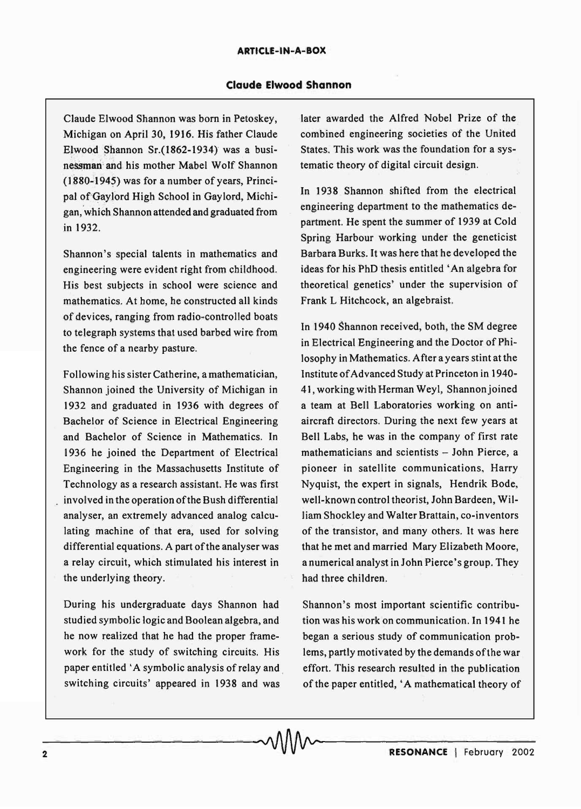Claude Elwood Shannon was born in Petoskey, Michigan on April 30, 1916. His father Claude Elwood Shannon Sr.(1862-1934) was a businessman and his mother Mabel Wolf Shannon  $(1880-1945)$  was for a number of years, Principal of'GayJord High School in Gaylord, Michigan, which Shannon attended and graduated from in 1932.

Shannon's special talents in mathematics and engineering were evident right from childhood. His best subjects in school were science and mathematics. At home, he constructed all kinds of devices, ranging from radio-controlled boats to telegraph systems that used barbed wire from the fence of a nearby pasture.

Following his sister Catherine, a mathematician, Shannon joined the University of Michigan in 1932 and graduated in 1936 with degrees of Bachelor of Science in Electrical Engineering and Bachelor of Science in Mathematics. In 1936 he joined the Department of Electrical Engineering in the Massachusetts Institute of Technology as a research assistant. He was first involved in the operation of the Bush differential analyser, an extremely advanced analog calculating machine of that era, used for solving differential equations. A part of the analyser was a relay circuit, which stimulated his interest in the underlying theory.

During his undergraduate days Shannon had studied symbolic logic and Boolean algebra, and he now realized that he had the proper framework for the study of switching circuits. His paper entitled 'A symbolic analysis of relay and . switching circuits' appeared in 1938 and was

later awarded the Alfred Nobel Prize of the combined engineering societies of the United States. This work was the foundation for a systematic theory of digital circuit design.

In 1938 Shannon shifted from the electrical engineering department to the mathematics department. He spent the summer of 1939 at Cold Spring Harbour working under the geneticist Barbara Burks. It was here that he developed the ideas for his PhD thesis entitled' An algebra for theoretical genetics' under the supervision of Frank L Hitchcock, an algebraist.

In 1940 Shannon received, both, the SM degree in Electrical Engineering and the Doctor of Philosophy in Mathematics. After a years stint at the Institute of Advanced Study at Princeton in 1940- 41, working with Herman Weyl, Shannonjoined a team at Bell Laboratories working on antiaircraft directors. During the next few years at Bell Labs, he was in the company of first rate mathematicians and scientists - John Pierce, a pioneer in satellite communications, Harry Nyquist, the expert in signals, Hendrik Bode, well-known control theorist, John Bardeen, William Shockley and Walter Brattain, co-inventors of the transistor, and many others. It was here that he met and married Mary Elizabeth Moore, a numerical analyst in John Pierce's group. They had three children.

Shannon's most important scientific contribution was his work on communication. In 1941 he began a serious study of communication problems, partly motivated by the demands of the war effort. This research resulted in the publication of the paper entitled, 'A mathematical theory of